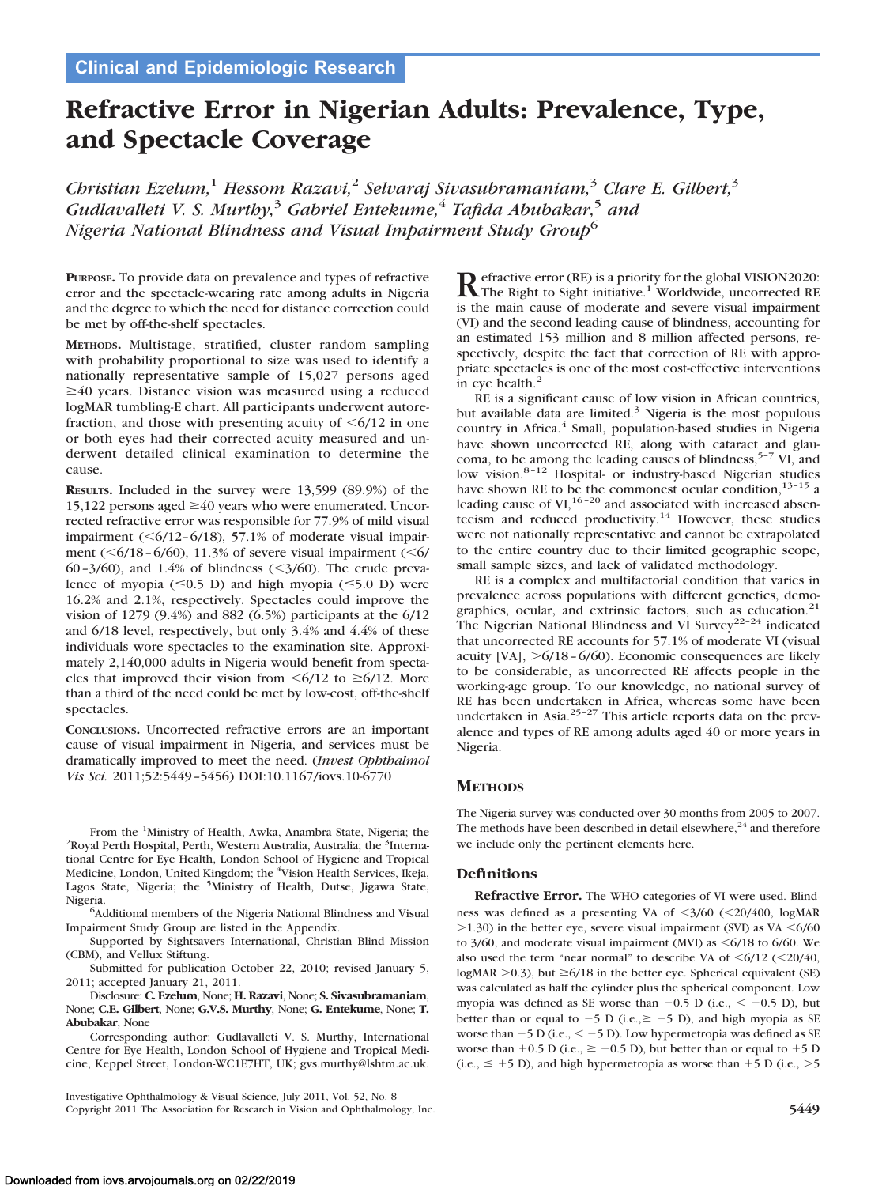# **Refractive Error in Nigerian Adults: Prevalence, Type, and Spectacle Coverage**

*Christian Ezelum,*<sup>1</sup> *Hessom Razavi,*<sup>2</sup> *Selvaraj Sivasubramaniam,*<sup>3</sup> *Clare E. Gilbert,*<sup>3</sup> *Gudlavalleti V. S. Murthy,*<sup>3</sup> *Gabriel Entekume,*<sup>4</sup> *Tafida Abubakar,*<sup>5</sup> *and Nigeria National Blindness and Visual Impairment Study Group*<sup>6</sup>

**PURPOSE.** To provide data on prevalence and types of refractive error and the spectacle-wearing rate among adults in Nigeria and the degree to which the need for distance correction could be met by off-the-shelf spectacles.

**METHODS.** Multistage, stratified, cluster random sampling with probability proportional to size was used to identify a nationally representative sample of 15,027 persons aged  $\geq 40$  years. Distance vision was measured using a reduced logMAR tumbling-E chart. All participants underwent autorefraction, and those with presenting acuity of  $\leq 6/12$  in one or both eyes had their corrected acuity measured and underwent detailed clinical examination to determine the cause.

**RESULTS.** Included in the survey were 13,599 (89.9%) of the 15,122 persons aged  $\geq$ 40 years who were enumerated. Uncorrected refractive error was responsible for 77.9% of mild visual impairment  $(\leq 6/12 - 6/18)$ , 57.1% of moderate visual impairment ( $\leq 6/18 - 6/60$ ), 11.3% of severe visual impairment ( $\leq 6/$ 60-3/60), and 1.4% of blindness  $(\leq 3/60)$ . The crude prevalence of myopia  $(\leq 0.5 \text{ D})$  and high myopia  $(\leq 5.0 \text{ D})$  were 16.2% and 2.1%, respectively. Spectacles could improve the vision of 1279 (9.4%) and 882 (6.5%) participants at the 6/12 and 6/18 level, respectively, but only 3.4% and 4.4% of these individuals wore spectacles to the examination site. Approximately 2,140,000 adults in Nigeria would benefit from spectacles that improved their vision from  $\leq 6/12$  to  $\geq 6/12$ . More than a third of the need could be met by low-cost, off-the-shelf spectacles.

**CONCLUSIONS.** Uncorrected refractive errors are an important cause of visual impairment in Nigeria, and services must be dramatically improved to meet the need. (*Invest Ophthalmol Vis Sci.* 2011;52:5449 –5456) DOI:10.1167/iovs.10-6770

From the <sup>1</sup>Ministry of Health, Awka, Anambra State, Nigeria; the <sup>2</sup>Royal Perth Hospital, Nestern Australia, Australia; the <sup>3</sup>Interna-Royal Perth Hospital, Perth, Western Australia, Australia; the <sup>3</sup>International Centre for Eye Health, London School of Hygiene and Tropical Medicine, London, United Kingdom; the <sup>4</sup>Vision Health Services, Ikeja, Lagos State, Nigeria; the <sup>5</sup>Ministry of Health, Dutse, Jigawa State, Nigeria. <sup>6</sup>

Additional members of the Nigeria National Blindness and Visual Impairment Study Group are listed in the Appendix.

Supported by Sightsavers International, Christian Blind Mission (CBM), and Vellux Stiftung.

Submitted for publication October 22, 2010; revised January 5, 2011; accepted January 21, 2011.

Disclosure: **C. Ezelum**, None; **H. Razavi**, None; **S. Sivasubramaniam**, None; **C.E. Gilbert**, None; **G.V.S. Murthy**, None; **G. Entekume**, None; **T. Abubakar**, None

Corresponding author: Gudlavalleti V. S. Murthy, International Centre for Eye Health, London School of Hygiene and Tropical Medicine, Keppel Street, London-WC1E7HT, UK; gvs.murthy@lshtm.ac.uk.

Investigative Ophthalmology & Visual Science, July 2011, Vol. 52, No. 8 Copyright 2011 The Association for Research in Vision and Ophthalmology, Inc. **5449**

Refractive error (RE) is a priority for the global VISION2020:<br>The Right to Sight initiative.<sup>1</sup> Worldwide, uncorrected RE is the main cause of moderate and severe visual impairment (VI) and the second leading cause of blindness, accounting for an estimated 153 million and 8 million affected persons, respectively, despite the fact that correction of RE with appropriate spectacles is one of the most cost-effective interventions in eye health. $<sup>2</sup>$ </sup>

RE is a significant cause of low vision in African countries, but available data are limited.<sup>3</sup> Nigeria is the most populous country in Africa.<sup>4</sup> Small, population-based studies in Nigeria have shown uncorrected RE, along with cataract and glaucoma, to be among the leading causes of blindness,  $5-7$  VI, and low vision.<sup>8-12</sup> Hospital- or industry-based Nigerian studies have shown RE to be the commonest ocular condition,  $13-15$  a leading cause of  $VI<sub>1</sub><sup>16-20</sup>$  and associated with increased absenteeism and reduced productivity.<sup>14</sup> However, these studies were not nationally representative and cannot be extrapolated to the entire country due to their limited geographic scope, small sample sizes, and lack of validated methodology.

RE is a complex and multifactorial condition that varies in prevalence across populations with different genetics, demographics, ocular, and extrinsic factors, such as education.<sup>21</sup> The Nigerian National Blindness and VI Survey<sup>22-24</sup> indicated that uncorrected RE accounts for 57.1% of moderate VI (visual acuity [VA], -6/18 – 6/60). Economic consequences are likely to be considerable, as uncorrected RE affects people in the working-age group. To our knowledge, no national survey of RE has been undertaken in Africa, whereas some have been undertaken in Asia.<sup>25-27</sup> This article reports data on the prevalence and types of RE among adults aged 40 or more years in Nigeria.

# **METHODS**

The Nigeria survey was conducted over 30 months from 2005 to 2007. The methods have been described in detail elsewhere, $24$  and therefore we include only the pertinent elements here.

## **Definitions**

**Refractive Error.** The WHO categories of VI were used. Blindness was defined as a presenting VA of <3/60 (<20/400, logMAR  $>$ 1.30) in the better eye, severe visual impairment (SVI) as VA  $\leq$ 6/60 to  $3/60$ , and moderate visual impairment (MVI) as  $\leq 6/18$  to  $6/60$ . We also used the term "near normal" to describe VA of  $\leq 6/12$  ( $\leq 20/40$ , logMAR  $>$  0.3), but  $\geq$  6/18 in the better eye. Spherical equivalent (SE) was calculated as half the cylinder plus the spherical component. Low myopia was defined as SE worse than  $-0.5$  D (i.e.,  $\leq -0.5$  D), but better than or equal to  $-5$  D (i.e.,  $\ge -5$  D), and high myopia as SE worse than  $-5$  D (i.e.,  $<-5$  D). Low hypermetropia was defined as SE worse than  $+0.5$  D (i.e.,  $\geq +0.5$  D), but better than or equal to  $+5$  D  $(i.e., \leq +5 \text{ D})$ , and high hypermetropia as worse than  $+5 \text{ D}$  (i.e.,  $>5$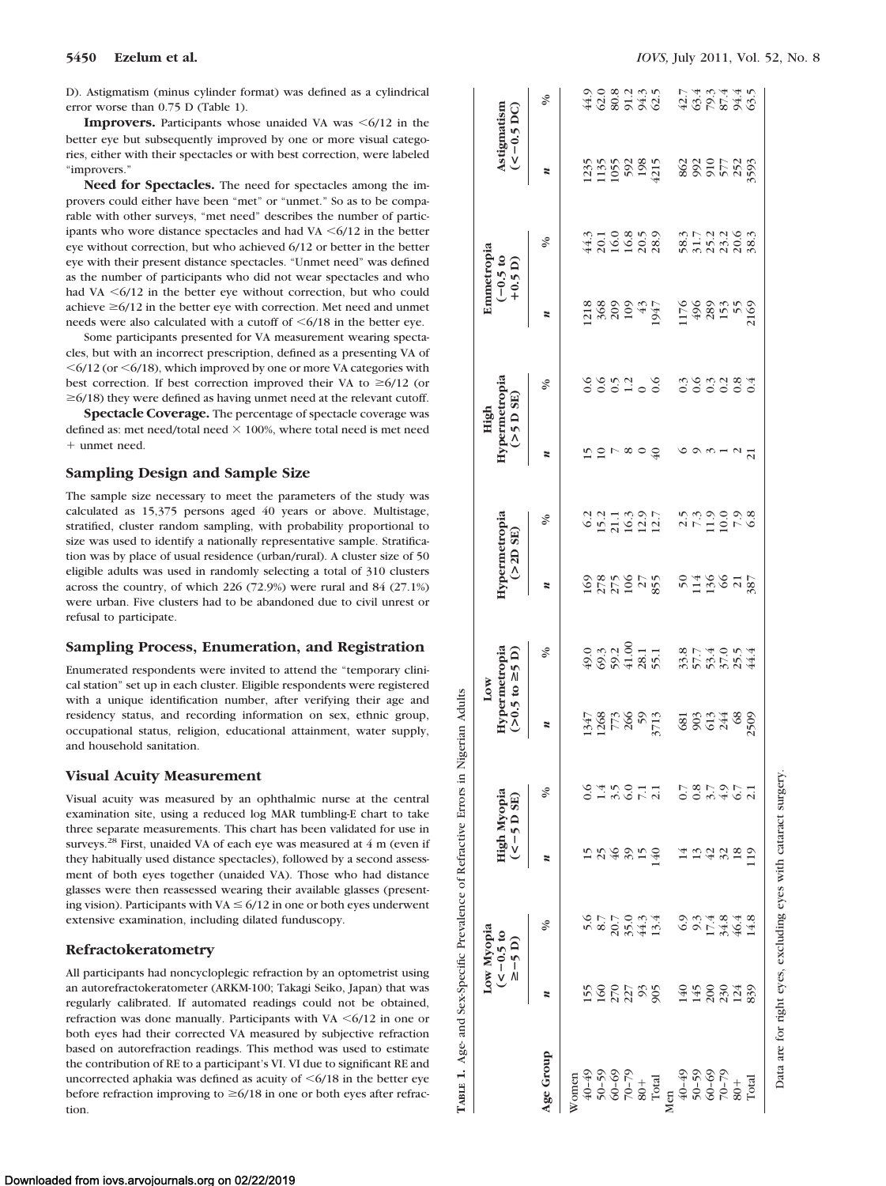D). Astigmatism (minus cylinder format) was defined as a cylindrical error worse than 0.75 D (Table 1).

**Improvers.** Participants whose unaided VA was  $\leq 6/12$  in the better eye but subsequently improved by one or more visual categories, either with their spectacles or with best correction, were labeled "improvers."

**Need for Spectacles.** The need for spectacles among the improvers could either have been "met" or "unmet." So as to be comparable with other surveys, "met need" describes the number of participants who wore distance spectacles and had VA  $\leq 6/12$  in the better eye without correction, but who achieved 6/12 or better in the better eye with their present distance spectacles. "Unmet need" was defined as the number of participants who did not wear spectacles and who had VA  $\leq 6/12$  in the better eye without correction, but who could achieve  $\geq 6/12$  in the better eye with correction. Met need and unmet needs were also calculated with a cutoff of  $\leq 6/18$  in the better eye.

Some participants presented for VA measurement wearing spectacles, but with an incorrect prescription, defined as a presenting VA of  $\leq 6/12$  (or  $\leq 6/18$ ), which improved by one or more VA categories with best correction. If best correction improved their VA to  $\geq 6/12$  (or  $\geq$  6/18) they were defined as having unmet need at the relevant cutoff.

**Spectacle Coverage.** The percentage of spectacle coverage was defined as: met need/total need  $\times$  100%, where total need is met need unmet need.

## **Sampling Design and Sample Size**

The sample size necessary to meet the parameters of the study was calculated as 15,375 persons aged 40 years or above. Multistage, stratified, cluster random sampling, with probability proportional to size was used to identify a nationally representative sample. Stratification was by place of usual residence (urban/rural). A cluster size of 50 eligible adults was used in randomly selecting a total of 310 clusters across the country, of which 226 (72.9%) were rural and 84 (27.1%) were urban. Five clusters had to be abandoned due to civil unrest or refusal to participate.

#### **Sampling Process, Enumeration, and Registration**

Enumerated respondents were invited to attend the "temporary clinical station" set up in each cluster. Eligible respondents were registered with a unique identification number, after verifying their age and residency status, and recording information on sex, ethnic group, occupational status, religion, educational attainment, water supply, and household sanitation.

#### **Visual Acuity Measurement**

Visual acuity was measured by an ophthalmic nurse at the central examination site, using a reduced log MAR tumbling-E chart to take three separate measurements. This chart has been validated for use in surveys.<sup>28</sup> First, unaided VA of each eye was measured at 4 m (even if they habitually used distance spectacles), followed by a second assessment of both eyes together (unaided VA). Those who had distance glasses were then reassessed wearing their available glasses (presenting vision). Participants with  $VA \leq 6/12$  in one or both eyes underwent extensive examination, including dilated funduscopy.

#### **Refractokeratometry**

All participants had noncycloplegic refraction by an optometrist using an autorefractokeratometer (ARKM-100; Takagi Seiko, Japan) that was regularly calibrated. If automated readings could not be obtained, refraction was done manually. Participants with VA  $\leq 6/12$  in one or both eyes had their corrected VA measured by subjective refraction based on autorefraction readings. This method was used to estimate the contribution of RE to a participant's VI. VI due to significant RE and uncorrected aphakia was defined as acuity of  $\leq 6/18$  in the better eye before refraction improving to  $\geq 6/18$  in one or both eyes after refracwith a unique identification number, after verifying their age and<br>
residence status, and recording information on sex, ethnic group,<br>
occupational status, religion, educational attainment, water supply,<br> **Visual Acuity M** 

|                                                                                                                                                                                                                                                        |                | Low Myopi<br>$(-0.5 \text{ to}$<br>$\geq -5$ D) | High Myopia<br>$(< -5 D SE)$ |                                | Low                | $> 0.5$ to $\geq 5$ D)<br>ypermetropia | Hypermetropia<br>(2D SE) |                    |                | High<br>Hypermetropia<br>(>5 D SE) | Emmetropia<br>$(-0.5 t)$<br>+0.5 D) |                                                    | Astigmatism<br>$(<-0.5$ DC) |                  |
|--------------------------------------------------------------------------------------------------------------------------------------------------------------------------------------------------------------------------------------------------------|----------------|-------------------------------------------------|------------------------------|--------------------------------|--------------------|----------------------------------------|--------------------------|--------------------|----------------|------------------------------------|-------------------------------------|----------------------------------------------------|-----------------------------|------------------|
| e Group                                                                                                                                                                                                                                                |                | $\delta$                                        |                              | $\sqrt{6}$                     |                    | ℅                                      |                          | ళ                  |                | $\delta$                           | z                                   | ళి                                                 |                             | ℅                |
|                                                                                                                                                                                                                                                        |                |                                                 |                              |                                |                    |                                        |                          |                    |                |                                    |                                     |                                                    |                             |                  |
| $W$<br>$W$ and $W$ and $W$<br>$W$ and $W$ and $W$<br>$W$ and $W$ and $W$<br>$W$ and $W$ and $W$<br>$W$ and $W$<br>$W$ and $W$<br>$W$ and $W$<br>$W$ and $W$<br>$W$ and $W$<br>$W$ and $W$<br>$W$ and $W$<br>$W$ and $W$ and $W$ and $W$<br>$W$ and $W$ |                |                                                 |                              |                                |                    |                                        |                          |                    |                |                                    |                                     |                                                    |                             |                  |
|                                                                                                                                                                                                                                                        |                |                                                 |                              |                                |                    |                                        |                          |                    |                |                                    |                                     |                                                    |                             |                  |
|                                                                                                                                                                                                                                                        |                |                                                 |                              |                                |                    |                                        |                          |                    |                |                                    |                                     |                                                    |                             |                  |
|                                                                                                                                                                                                                                                        |                |                                                 |                              |                                |                    | 9 3 3 4 5<br>9 3 3 4 5<br>9 8 5 4 8 5  | 28882785                 | ついいいのけい<br>つけにいいけい | ∞              | 0.052000                           | 13889947                            |                                                    |                             |                  |
|                                                                                                                                                                                                                                                        |                |                                                 |                              |                                |                    |                                        |                          |                    |                |                                    |                                     |                                                    |                             |                  |
|                                                                                                                                                                                                                                                        | 1582388 948331 | $5077044$<br>$087844$                           | 15264854 1524859             | odword bowdod<br>Odword oowdod | 5878875<br>1987887 |                                        |                          |                    | $\overline{6}$ |                                    |                                     | 4210810<br>4210828                                 | 1355<br>1955<br>592<br>4215 | 908135<br>408536 |
|                                                                                                                                                                                                                                                        |                |                                                 |                              |                                |                    |                                        |                          |                    |                |                                    |                                     |                                                    |                             |                  |
|                                                                                                                                                                                                                                                        |                |                                                 |                              |                                |                    |                                        |                          |                    |                |                                    |                                     |                                                    |                             |                  |
|                                                                                                                                                                                                                                                        |                |                                                 |                              |                                |                    |                                        |                          |                    |                |                                    |                                     |                                                    |                             |                  |
|                                                                                                                                                                                                                                                        |                |                                                 |                              |                                |                    |                                        |                          |                    |                |                                    |                                     |                                                    |                             |                  |
|                                                                                                                                                                                                                                                        |                |                                                 |                              |                                |                    |                                        |                          |                    |                |                                    |                                     |                                                    |                             |                  |
|                                                                                                                                                                                                                                                        |                | 934848991                                       |                              |                                | <b>823482</b>      | 855884<br>858584                       | 848878                   |                    |                | 3<br>2000000                       |                                     | n 1 1 1 1 9 10<br>8 7 1 1 1 9 2 3<br>6 7 1 1 2 2 3 | 8885588                     | 465896<br>465896 |
|                                                                                                                                                                                                                                                        |                |                                                 |                              |                                |                    |                                        |                          |                    |                |                                    |                                     |                                                    |                             |                  |

Data are for right eyes, excluding eyes with cataract surgery. Data are for right eyes, excluding eyes with cataract surgery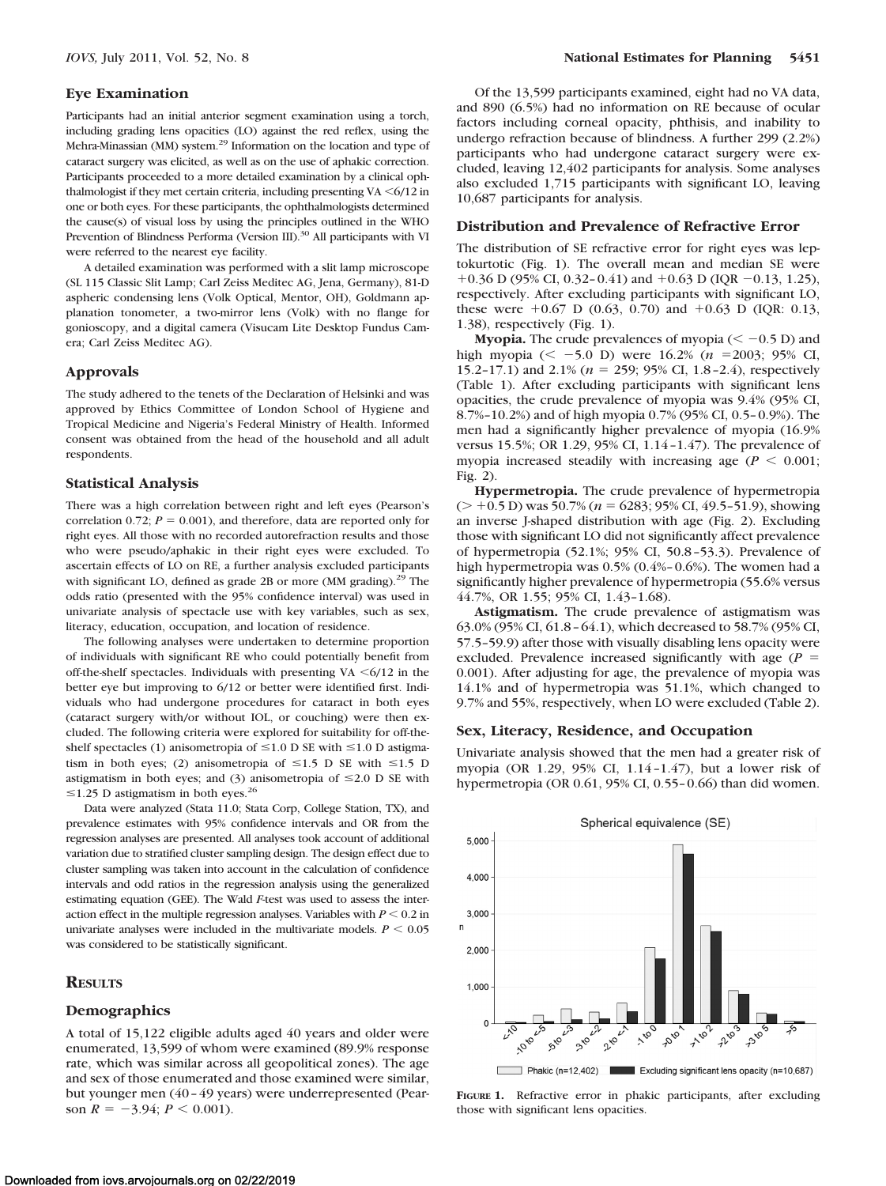#### **Eye Examination**

Participants had an initial anterior segment examination using a torch, including grading lens opacities (LO) against the red reflex, using the Mehra-Minassian (MM) system.29 Information on the location and type of cataract surgery was elicited, as well as on the use of aphakic correction. Participants proceeded to a more detailed examination by a clinical ophthalmologist if they met certain criteria, including presenting  $VA < 6/12$  in one or both eyes. For these participants, the ophthalmologists determined the cause(s) of visual loss by using the principles outlined in the WHO Prevention of Blindness Performa (Version III).<sup>30</sup> All participants with VI were referred to the nearest eye facility.

A detailed examination was performed with a slit lamp microscope (SL 115 Classic Slit Lamp; Carl Zeiss Meditec AG, Jena, Germany), 81-D aspheric condensing lens (Volk Optical, Mentor, OH), Goldmann applanation tonometer, a two-mirror lens (Volk) with no flange for gonioscopy, and a digital camera (Visucam Lite Desktop Fundus Camera; Carl Zeiss Meditec AG).

## **Approvals**

The study adhered to the tenets of the Declaration of Helsinki and was approved by Ethics Committee of London School of Hygiene and Tropical Medicine and Nigeria's Federal Ministry of Health. Informed consent was obtained from the head of the household and all adult respondents.

## **Statistical Analysis**

There was a high correlation between right and left eyes (Pearson's correlation 0.72;  $P = 0.001$ ), and therefore, data are reported only for right eyes. All those with no recorded autorefraction results and those who were pseudo/aphakic in their right eyes were excluded. To ascertain effects of LO on RE, a further analysis excluded participants with significant LO, defined as grade 2B or more  $(MM)$  grading).<sup>29</sup> The odds ratio (presented with the 95% confidence interval) was used in univariate analysis of spectacle use with key variables, such as sex, literacy, education, occupation, and location of residence.

The following analyses were undertaken to determine proportion of individuals with significant RE who could potentially benefit from off-the-shelf spectacles. Individuals with presenting VA  $\leq 6/12$  in the better eye but improving to 6/12 or better were identified first. Individuals who had undergone procedures for cataract in both eyes (cataract surgery with/or without IOL, or couching) were then excluded. The following criteria were explored for suitability for off-theshelf spectacles (1) anisometropia of  $\leq$ 1.0 D SE with  $\leq$ 1.0 D astigmatism in both eyes; (2) anisometropia of  $\leq 1.5$  D SE with  $\leq 1.5$  D astigmatism in both eyes; and (3) anisometropia of  $\leq 2.0$  D SE with  $\leq$ 1.25 D astigmatism in both eyes.<sup>26</sup>

Data were analyzed (Stata 11.0; Stata Corp, College Station, TX), and prevalence estimates with 95% confidence intervals and OR from the regression analyses are presented. All analyses took account of additional variation due to stratified cluster sampling design. The design effect due to cluster sampling was taken into account in the calculation of confidence intervals and odd ratios in the regression analysis using the generalized estimating equation (GEE). The Wald *F*-test was used to assess the interaction effect in the multiple regression analyses. Variables with  $P \leq 0.2$  in univariate analyses were included in the multivariate models.  $P \leq 0.05$ was considered to be statistically significant.

#### **RESULTS**

#### **Demographics**

A total of 15,122 eligible adults aged 40 years and older were enumerated, 13,599 of whom were examined (89.9% response rate, which was similar across all geopolitical zones). The age and sex of those enumerated and those examined were similar, but younger men (40 – 49 years) were underrepresented (Pearson  $R = -3.94$ ;  $P < 0.001$ ).

Of the 13,599 participants examined, eight had no VA data, and 890 (6.5%) had no information on RE because of ocular factors including corneal opacity, phthisis, and inability to undergo refraction because of blindness. A further 299 (2.2%) participants who had undergone cataract surgery were excluded, leaving 12,402 participants for analysis. Some analyses also excluded 1,715 participants with significant LO, leaving 10,687 participants for analysis.

#### **Distribution and Prevalence of Refractive Error**

The distribution of SE refractive error for right eyes was leptokurtotic (Fig. 1). The overall mean and median SE were +0.36 D (95% CI, 0.32-0.41) and +0.63 D (IQR -0.13, 1.25), respectively. After excluding participants with significant LO, these were  $+0.67$  D (0.63, 0.70) and  $+0.63$  D (IQR: 0.13, 1.38), respectively (Fig. 1).

**Myopia.** The crude prevalences of myopia  $(< -0.5$  D) and high myopia ( $\le$  -5.0 D) were 16.2% ( $n = 2003$ ; 95% CI, 15.2-17.1) and 2.1% ( $n = 259$ ; 95% CI, 1.8-2.4), respectively (Table 1). After excluding participants with significant lens opacities, the crude prevalence of myopia was 9.4% (95% CI, 8.7%–10.2%) and of high myopia 0.7% (95% CI, 0.5– 0.9%). The men had a significantly higher prevalence of myopia (16.9% versus 15.5%; OR 1.29, 95% CI, 1.14 –1.47). The prevalence of myopia increased steadily with increasing age  $(P \leq 0.001)$ ; Fig. 2).

**Hypermetropia.** The crude prevalence of hypermetropia  $(> +0.5 \text{ D})$  was 50.7% ( $n = 6283$ ; 95% CI, 49.5-51.9), showing an inverse J-shaped distribution with age (Fig. 2). Excluding those with significant LO did not significantly affect prevalence of hypermetropia (52.1%; 95% CI, 50.8 –53.3). Prevalence of high hypermetropia was 0.5% (0.4%– 0.6%). The women had a significantly higher prevalence of hypermetropia (55.6% versus 44.7%, OR 1.55; 95% CI, 1.43–1.68).

**Astigmatism.** The crude prevalence of astigmatism was 63.0% (95% CI, 61.8 – 64.1), which decreased to 58.7% (95% CI, 57.5–59.9) after those with visually disabling lens opacity were excluded. Prevalence increased significantly with age  $(P =$ 0.001). After adjusting for age, the prevalence of myopia was 14.1% and of hypermetropia was 51.1%, which changed to 9.7% and 55%, respectively, when LO were excluded (Table 2).

#### **Sex, Literacy, Residence, and Occupation**

Univariate analysis showed that the men had a greater risk of myopia (OR 1.29, 95% CI, 1.14 –1.47), but a lower risk of hypermetropia (OR 0.61, 95% CI, 0.55– 0.66) than did women.



**FIGURE 1.** Refractive error in phakic participants, after excluding those with significant lens opacities.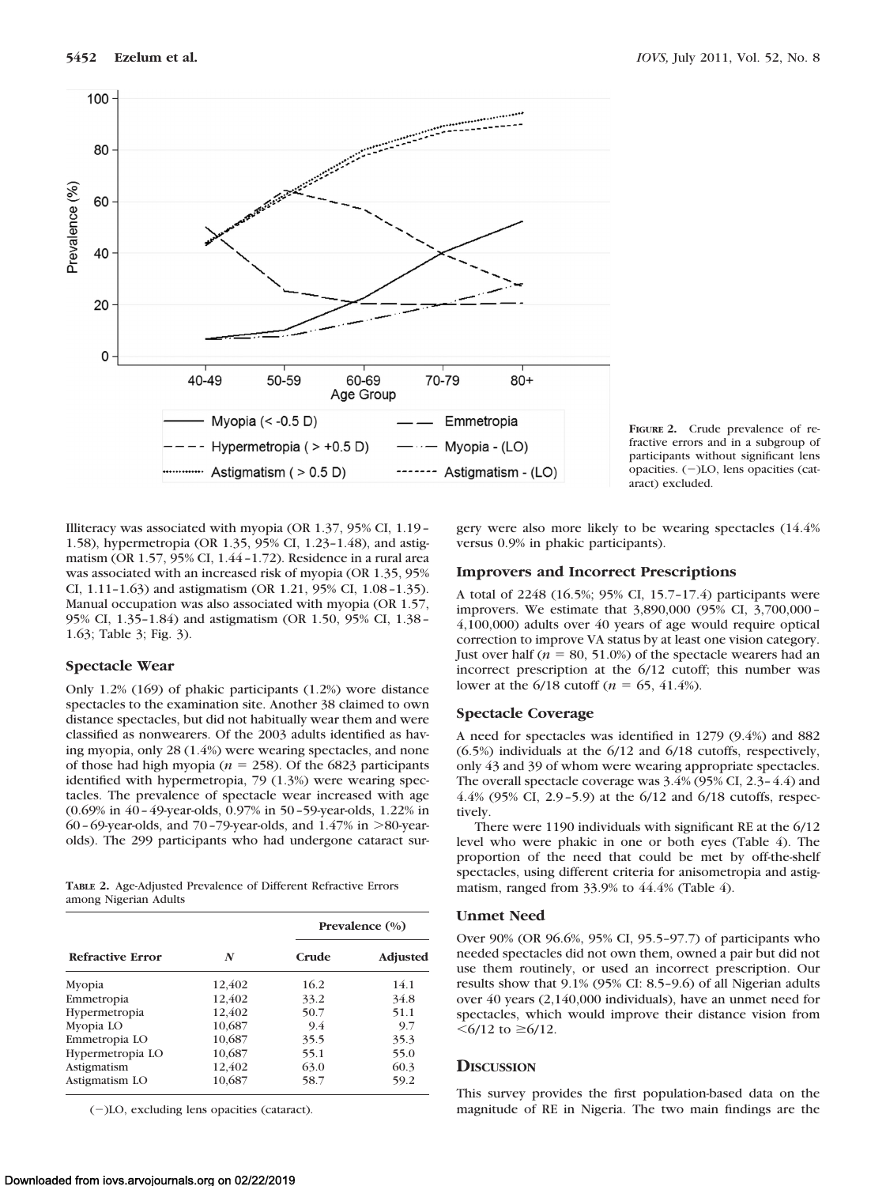

**FIGURE 2.** Crude prevalence of refractive errors and in a subgroup of participants without significant lens opacities.  $(-)$ LO, lens opacities (cataract) excluded.

Illiteracy was associated with myopia (OR 1.37, 95% CI, 1.19 – 1.58), hypermetropia (OR 1.35, 95% CI, 1.23–1.48), and astigmatism (OR 1.57, 95% CI, 1.44 –1.72). Residence in a rural area was associated with an increased risk of myopia (OR 1.35, 95% CI, 1.11–1.63) and astigmatism (OR 1.21, 95% CI, 1.08 –1.35). Manual occupation was also associated with myopia (OR 1.57, 95% CI, 1.35–1.84) and astigmatism (OR 1.50, 95% CI, 1.38 – 1.63; Table 3; Fig. 3).

## **Spectacle Wear**

Only 1.2% (169) of phakic participants (1.2%) wore distance spectacles to the examination site. Another 38 claimed to own distance spectacles, but did not habitually wear them and were classified as nonwearers. Of the 2003 adults identified as having myopia, only 28 (1.4%) were wearing spectacles, and none of those had high myopia ( $n = 258$ ). Of the 6823 participants identified with hypermetropia, 79 (1.3%) were wearing spectacles. The prevalence of spectacle wear increased with age (0.69% in 40 – 49-year-olds, 0.97% in 50 –59-year-olds, 1.22% in  $60 - 69$ -year-olds, and  $70 - 79$ -year-olds, and  $1.47\%$  in  $>80$ -yearolds). The 299 participants who had undergone cataract sur-

**TABLE 2.** Age-Adjusted Prevalence of Different Refractive Errors among Nigerian Adults

|                         |        |       | Prevalence $(\% )$ |
|-------------------------|--------|-------|--------------------|
| <b>Refractive Error</b> | N      | Crude | <b>Adjusted</b>    |
| Myopia                  | 12,402 | 16.2  | 14.1               |
| Emmetropia              | 12,402 | 33.2  | 34.8               |
| Hypermetropia           | 12,402 | 50.7  | 51.1               |
| Myopia LO               | 10,687 | 9.4   | 9.7                |
| Emmetropia LO           | 10,687 | 35.5  | 35.3               |
| Hypermetropia LO        | 10,687 | 55.1  | 55.0               |
| Astigmatism             | 12.402 | 63.0  | 60.3               |
| Astigmatism LO          | 10.687 | 58.7  | 59.2               |

(-)LO, excluding lens opacities (cataract).

gery were also more likely to be wearing spectacles (14.4% versus 0.9% in phakic participants).

## **Improvers and Incorrect Prescriptions**

A total of 2248 (16.5%; 95% CI, 15.7–17.4) participants were improvers. We estimate that 3,890,000 (95% CI, 3,700,000 – 4,100,000) adults over 40 years of age would require optical correction to improve VA status by at least one vision category. Just over half ( $n = 80, 51.0\%$ ) of the spectacle wearers had an incorrect prescription at the 6/12 cutoff; this number was lower at the  $6/18$  cutoff ( $n = 65, 41.4%$ ).

## **Spectacle Coverage**

A need for spectacles was identified in 1279 (9.4%) and 882 (6.5%) individuals at the 6/12 and 6/18 cutoffs, respectively, only 43 and 39 of whom were wearing appropriate spectacles. The overall spectacle coverage was 3.4% (95% CI, 2.3– 4.4) and 4.4% (95% CI, 2.9 –5.9) at the 6/12 and 6/18 cutoffs, respectively.

There were 1190 individuals with significant RE at the 6/12 level who were phakic in one or both eyes (Table 4). The proportion of the need that could be met by off-the-shelf spectacles, using different criteria for anisometropia and astigmatism, ranged from 33.9% to 44.4% (Table 4).

#### **Unmet Need**

Over 90% (OR 96.6%, 95% CI, 95.5–97.7) of participants who needed spectacles did not own them, owned a pair but did not use them routinely, or used an incorrect prescription. Our results show that 9.1% (95% CI: 8.5–9.6) of all Nigerian adults over 40 years (2,140,000 individuals), have an unmet need for spectacles, which would improve their distance vision from  $<6/12$  to  $\geq 6/12$ .

## **DISCUSSION**

This survey provides the first population-based data on the magnitude of RE in Nigeria. The two main findings are the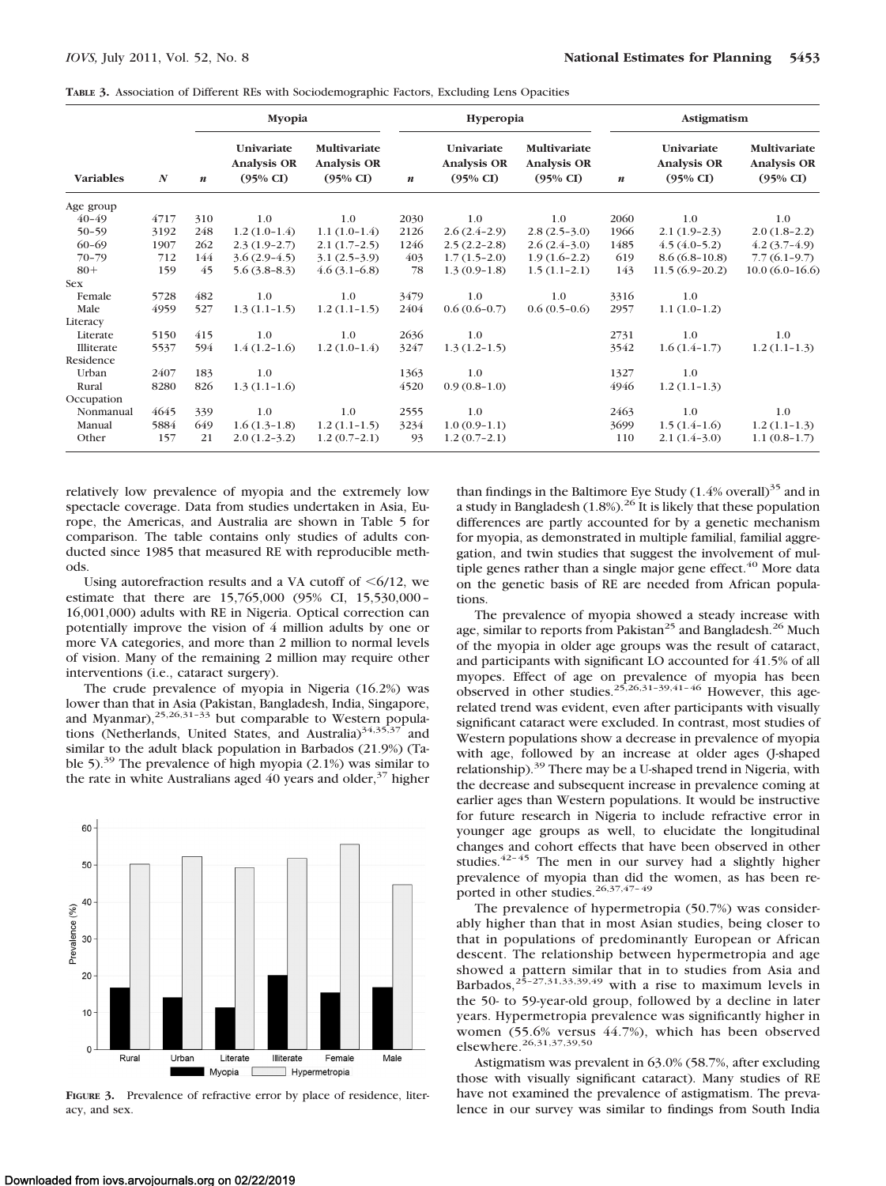|  |  |  |  | TABLE 3. Association of Different REs with Sociodemographic Factors, Excluding Lens Opacities |  |  |  |  |
|--|--|--|--|-----------------------------------------------------------------------------------------------|--|--|--|--|
|--|--|--|--|-----------------------------------------------------------------------------------------------|--|--|--|--|

|                  |                  |                  | Myopia                                                  |                                                           |                  | Hyperopia                                               |                                                           |                  | Astigmatism                                             |                                                           |  |
|------------------|------------------|------------------|---------------------------------------------------------|-----------------------------------------------------------|------------------|---------------------------------------------------------|-----------------------------------------------------------|------------------|---------------------------------------------------------|-----------------------------------------------------------|--|
| <b>Variables</b> | $\boldsymbol{N}$ | $\boldsymbol{n}$ | Univariate<br><b>Analysis OR</b><br>$(95\% \text{ CI})$ | Multivariate<br><b>Analysis OR</b><br>$(95\% \text{ CI})$ | $\boldsymbol{n}$ | Univariate<br><b>Analysis OR</b><br>$(95\% \text{ CI})$ | Multivariate<br><b>Analysis OR</b><br>$(95\% \text{ CI})$ | $\boldsymbol{n}$ | Univariate<br><b>Analysis OR</b><br>$(95\% \text{ CI})$ | Multivariate<br><b>Analysis OR</b><br>$(95\% \text{ CI})$ |  |
| Age group        |                  |                  |                                                         |                                                           |                  |                                                         |                                                           |                  |                                                         |                                                           |  |
| $40 - 49$        | 4717             | 310              | 1.0                                                     | 1.0                                                       | 2030             | 1.0                                                     | $1.0\,$                                                   | 2060             | $1.0\,$                                                 | 1.0                                                       |  |
| $50 - 59$        | 3192             | 248              | $1.2(1.0-1.4)$                                          | $1.1(1.0-1.4)$                                            | 2126             | $2.6(2.4-2.9)$                                          | $2.8(2.5-3.0)$                                            | 1966             | $2.1(1.9-2.3)$                                          | $2.0(1.8-2.2)$                                            |  |
| $60 - 69$        | 1907             | 262              | $2.3(1.9-2.7)$                                          | $2.1(1.7-2.5)$                                            | 1246             | $2.5(2.2-2.8)$                                          | $2.6(2.4-3.0)$                                            | 1485             | $4.5(4.0-5.2)$                                          | $4.2(3.7-4.9)$                                            |  |
| $70 - 79$        | 712              | 144              | $3.6(2.9-4.5)$                                          | $3.1(2.5-3.9)$                                            | 403              | $1.7(1.5-2.0)$                                          | $1.9(1.6-2.2)$                                            | 619              | $8.6(6.8-10.8)$                                         | $7.7(6.1-9.7)$                                            |  |
| $80+$            | 159              | 45               | $5.6(3.8-8.3)$                                          | $4.6(3.1-6.8)$                                            | 78               | $1.3(0.9-1.8)$                                          | $1.5(1.1-2.1)$                                            | 143              | $11.5(6.9-20.2)$                                        | $10.0(6.0-16.6)$                                          |  |
| <b>Sex</b>       |                  |                  |                                                         |                                                           |                  |                                                         |                                                           |                  |                                                         |                                                           |  |
| Female           | 5728             | 482              | 1.0                                                     | 1.0                                                       | 3479             | 1.0                                                     | 1.0                                                       | 3316             | 1.0                                                     |                                                           |  |
| Male             | 4959             | 527              | $1.3(1.1-1.5)$                                          | $1.2(1.1-1.5)$                                            | 2404             | $0.6(0.6-0.7)$                                          | $0.6(0.5-0.6)$                                            | 2957             | $1.1(1.0-1.2)$                                          |                                                           |  |
| Literacy         |                  |                  |                                                         |                                                           |                  |                                                         |                                                           |                  |                                                         |                                                           |  |
| Literate         | 5150             | 415              | 1.0                                                     | 1.0                                                       | 2636             | 1.0                                                     |                                                           | 2731             | 1.0                                                     | 1.0                                                       |  |
| Illiterate       | 5537             | 594              | $1.4(1.2-1.6)$                                          | $1.2(1.0-1.4)$                                            | 3247             | $1.3(1.2-1.5)$                                          |                                                           | 3542             | $1.6(1.4-1.7)$                                          | $1.2(1.1-1.3)$                                            |  |
| Residence        |                  |                  |                                                         |                                                           |                  |                                                         |                                                           |                  |                                                         |                                                           |  |
| Urban            | 2407             | 183              | 1.0                                                     |                                                           | 1363             | 1.0                                                     |                                                           | 1327             | 1.0                                                     |                                                           |  |
| Rural            | 8280             | 826              | $1.3(1.1-1.6)$                                          |                                                           | 4520             | $0.9(0.8-1.0)$                                          |                                                           | 4946             | $1.2(1.1-1.3)$                                          |                                                           |  |
| Occupation       |                  |                  |                                                         |                                                           |                  |                                                         |                                                           |                  |                                                         |                                                           |  |
| Nonmanual        | 4645             | 339              | 1.0                                                     | 1.0                                                       | 2555             | 1.0                                                     |                                                           | 2463             | 1.0                                                     | 1.0                                                       |  |
| Manual           | 5884             | 649              | $1.6(1.3-1.8)$                                          | $1.2(1.1-1.5)$                                            | 3234             | $1.0(0.9-1.1)$                                          |                                                           | 3699             | $1.5(1.4-1.6)$                                          | $1.2(1.1-1.3)$                                            |  |
| Other            | 157              | 21               | $2.0(1.2-3.2)$                                          | $1.2(0.7-2.1)$                                            | 93               | $1.2(0.7-2.1)$                                          |                                                           | 110              | $2.1(1.4-3.0)$                                          | $1.1(0.8-1.7)$                                            |  |

relatively low prevalence of myopia and the extremely low spectacle coverage. Data from studies undertaken in Asia, Europe, the Americas, and Australia are shown in Table 5 for comparison. The table contains only studies of adults conducted since 1985 that measured RE with reproducible methods.

Using autorefraction results and a VA cutoff of  $\leq 6/12$ , we estimate that there are 15,765,000 (95% CI, 15,530,000 – 16,001,000) adults with RE in Nigeria. Optical correction can potentially improve the vision of 4 million adults by one or more VA categories, and more than 2 million to normal levels of vision. Many of the remaining 2 million may require other interventions (i.e., cataract surgery).

The crude prevalence of myopia in Nigeria (16.2%) was lower than that in Asia (Pakistan, Bangladesh, India, Singapore, and Myanmar), $25,26,31-33$  but comparable to Western populations (Netherlands, United States, and Australia) $34,35,37$  and similar to the adult black population in Barbados (21.9%) (Table 5).<sup>39</sup> The prevalence of high myopia  $(2.1\%)$  was similar to the rate in white Australians aged  $40$  years and older,<sup>37</sup> higher



**FIGURE 3.** Prevalence of refractive error by place of residence, literacy, and sex.

than findings in the Baltimore Eye Study  $(1.4\%$  overall)<sup>35</sup> and in a study in Bangladesh  $(1.8\%)$ .<sup>26</sup> It is likely that these population differences are partly accounted for by a genetic mechanism for myopia, as demonstrated in multiple familial, familial aggregation, and twin studies that suggest the involvement of multiple genes rather than a single major gene effect. $40$  More data on the genetic basis of RE are needed from African populations.

The prevalence of myopia showed a steady increase with age, similar to reports from Pakistan<sup>25</sup> and Bangladesh.<sup>26</sup> Much of the myopia in older age groups was the result of cataract, and participants with significant LO accounted for 41.5% of all myopes. Effect of age on prevalence of myopia has been observed in other studies.<sup>25,26,31–39,41–46</sup> However, this agerelated trend was evident, even after participants with visually significant cataract were excluded. In contrast, most studies of Western populations show a decrease in prevalence of myopia with age, followed by an increase at older ages (J-shaped relationship).<sup>39</sup> There may be a U-shaped trend in Nigeria, with the decrease and subsequent increase in prevalence coming at earlier ages than Western populations. It would be instructive for future research in Nigeria to include refractive error in younger age groups as well, to elucidate the longitudinal changes and cohort effects that have been observed in other studies.<sup>42–45</sup> The men in our survey had a slightly higher prevalence of myopia than did the women, as has been reported in other studies.<sup>26,37,47-49</sup>

The prevalence of hypermetropia (50.7%) was considerably higher than that in most Asian studies, being closer to that in populations of predominantly European or African descent. The relationship between hypermetropia and age showed a pattern similar that in to studies from Asia and<br>Barbados,<sup>25–27,31,33,39,49</sup> with a rise to maximum levels in the 50- to 59-year-old group, followed by a decline in later years. Hypermetropia prevalence was significantly higher in women (55.6% versus 44.7%), which has been observed elsewhere.<sup>26,31,37,39,50</sup>

Astigmatism was prevalent in 63.0% (58.7%, after excluding those with visually significant cataract). Many studies of RE have not examined the prevalence of astigmatism. The prevalence in our survey was similar to findings from South India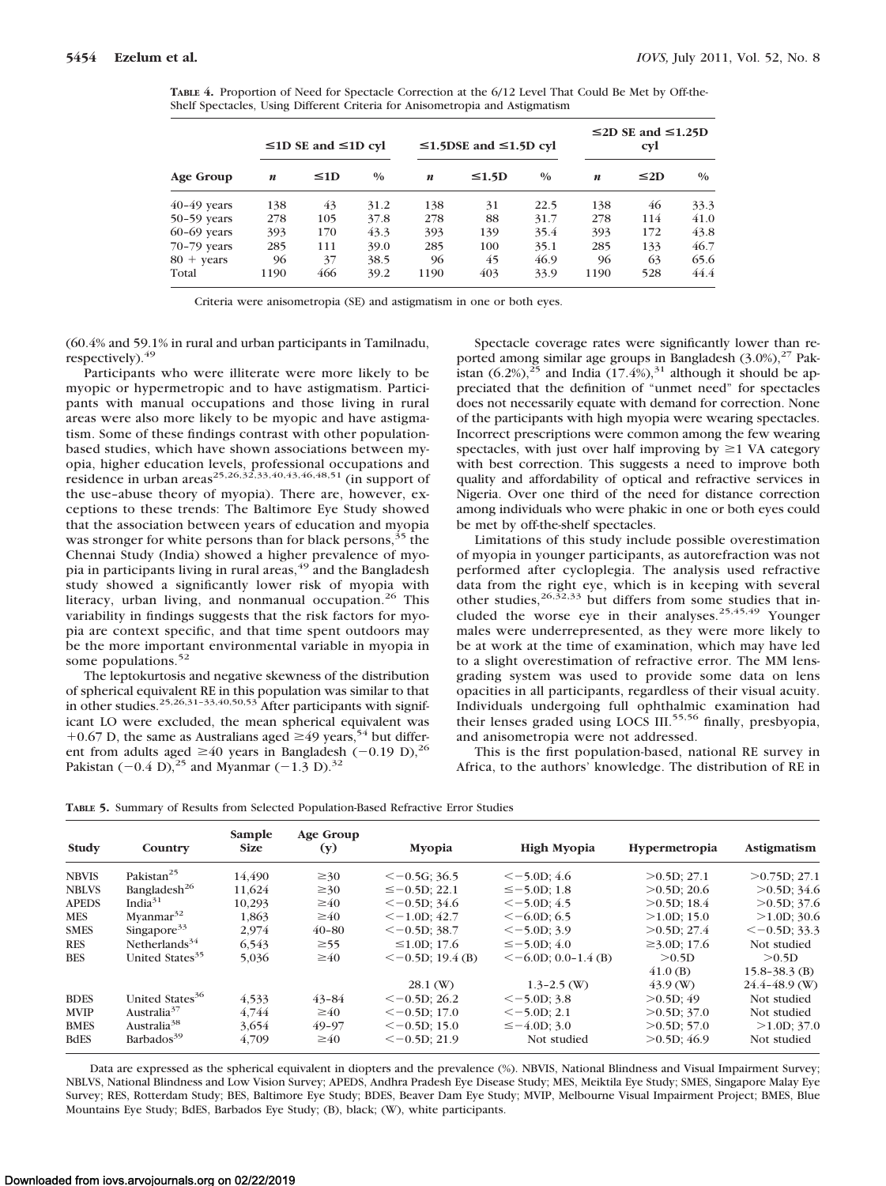**TABLE 4.** Proportion of Need for Spectacle Correction at the 6/12 Level That Could Be Met by Off-the-Shelf Spectacles, Using Different Criteria for Anisometropia and Astigmatism

|                     |      | $\leq$ 1D SE and $\leq$ 1D cyl |               |                  | $≤1.5$ DSE and $≤1.5$ D cyl |               |                  | $\leq$ 2D SE and $\leq$ 1.25D<br><b>cyl</b> |               |
|---------------------|------|--------------------------------|---------------|------------------|-----------------------------|---------------|------------------|---------------------------------------------|---------------|
| Age Group           | n    | $\leq1D$                       | $\frac{0}{0}$ | $\boldsymbol{n}$ | $\leq 1.5D$                 | $\frac{0}{0}$ | $\boldsymbol{n}$ | $\leq$ 2D                                   | $\frac{0}{0}$ |
| $40-49$ years       | 138  | 43                             | 31.2          | 138              | 31                          | 22.5          | 138              | 46                                          | 33.3          |
| $50-59$ years       | 278  | 105                            | 37.8          | 278              | 88                          | 31.7          | 278              | 114                                         | 41.0          |
| $60-69$ years       | 393  | 170                            | 43.3          | 393              | 139                         | 35.4          | 393              | 172                                         | 43.8          |
| 70-79 years         | 285  | 111                            | 39.0          | 285              | 100                         | 35.1          | 285              | 133                                         | 46.7          |
| $80 + \text{years}$ | 96   | 37                             | 38.5          | 96               | 45                          | 46.9          | 96               | 63                                          | 65.6          |
| Total               | 1190 | 466                            | 39.2          | 1190             | 403                         | 33.9          | 1190             | 528                                         | 44.4          |

Criteria were anisometropia (SE) and astigmatism in one or both eyes.

(60.4% and 59.1% in rural and urban participants in Tamilnadu, respectively).<sup>49</sup>

Participants who were illiterate were more likely to be myopic or hypermetropic and to have astigmatism. Participants with manual occupations and those living in rural areas were also more likely to be myopic and have astigmatism. Some of these findings contrast with other populationbased studies, which have shown associations between myopia, higher education levels, professional occupations and residence in urban areas<sup>25,26,32</sup>,33,40,43,46,48,51 (in support of the use–abuse theory of myopia). There are, however, exceptions to these trends: The Baltimore Eye Study showed that the association between years of education and myopia was stronger for white persons than for black persons,<sup>35</sup> the Chennai Study (India) showed a higher prevalence of myopia in participants living in rural areas,<sup>49</sup> and the Bangladesh study showed a significantly lower risk of myopia with literacy, urban living, and nonmanual occupation.<sup>26</sup> This variability in findings suggests that the risk factors for myopia are context specific, and that time spent outdoors may be the more important environmental variable in myopia in some populations.<sup>52</sup>

The leptokurtosis and negative skewness of the distribution of spherical equivalent RE in this population was similar to that in other studies.<sup>25,26,31-33,40,50,53</sup> After participants with significant LO were excluded, the mean spherical equivalent was +0.67 D, the same as Australians aged  $\geq$ 49 years,<sup>54</sup> but different from adults aged  $\geq 40$  years in Bangladesh (-0.19 D),<sup>26</sup> Pakistan  $(-0.4 \text{ D})$ ,<sup>25</sup> and Myanmar  $(-1.3 \text{ D})$ .<sup>32</sup>

Spectacle coverage rates were significantly lower than reported among similar age groups in Bangladesh  $(3.0\%)$ ,<sup>27</sup> Pakistan  $(6.2\%)$ ,<sup>25</sup> and India  $(17.4\%)$ ,<sup>31</sup> although it should be appreciated that the definition of "unmet need" for spectacles does not necessarily equate with demand for correction. None of the participants with high myopia were wearing spectacles. Incorrect prescriptions were common among the few wearing spectacles, with just over half improving by  $\geq 1$  VA category with best correction. This suggests a need to improve both quality and affordability of optical and refractive services in Nigeria. Over one third of the need for distance correction among individuals who were phakic in one or both eyes could be met by off-the-shelf spectacles.

Limitations of this study include possible overestimation of myopia in younger participants, as autorefraction was not performed after cycloplegia. The analysis used refractive data from the right eye, which is in keeping with several other studies,  $26,32,33$  but differs from some studies that included the worse eye in their analyses.<sup>25,45,49</sup> Younger males were underrepresented, as they were more likely to be at work at the time of examination, which may have led to a slight overestimation of refractive error. The MM lensgrading system was used to provide some data on lens opacities in all participants, regardless of their visual acuity. Individuals undergoing full ophthalmic examination had their lenses graded using LOCS III.<sup>55,56</sup> finally, presbyopia, and anisometropia were not addressed.

This is the first population-based, national RE survey in Africa, to the authors' knowledge. The distribution of RE in

**TABLE 5.** Summary of Results from Selected Population-Based Refractive Error Studies

| Study        | Country                     | Sample<br><b>Size</b> | Age Group<br>(y) | Myopia                 | <b>High Myopia</b>         | <b>Hypermetropia</b> | Astigmatism       |
|--------------|-----------------------------|-----------------------|------------------|------------------------|----------------------------|----------------------|-------------------|
| <b>NBVIS</b> | Pakistan <sup>25</sup>      | 14.490                | $\geq 30$        | $<-0.5G$ ; 36.5        | $\le$ -5.0D: 4.6           | $>0.5D$ ; 27.1       | $>0.75D$ : 27.1   |
| <b>NBLVS</b> | Bangladesh <sup>26</sup>    | 11.624                | $\geq 30$        | $\leq$ -0.5D: 22.1     | $\le$ -5.0D: 1.8           | >0.5D: 20.6          | $>0.5D$ ; 34.6    |
| <b>APEDS</b> | Indi $a^{31}$               | 10.293                | $\geq 40$        | $<-0.5D: 34.6$         | $\le -5.0$ D: 4.5          | $>0.5D$ : 18.4       | $>0.5D$ ; 37.6    |
| <b>MES</b>   | Myanmar <sup>32</sup>       | 1.863                 | $\geq 40$        | $\leq -1.0$ D: 42.7    | $\leq -6.0$ D: 6.5         | >1.0D:15.0           | $>1.0D$ ; 30.6    |
| <b>SMES</b>  | Singapore <sup>33</sup>     | 2,974                 | $40 - 80$        | $<-0.5D:38.7$          | $\le -5.0$ D: 3.9          | $>0.5D$ ; 27.4       | $<-0.5D$ ; 33.3   |
| <b>RES</b>   | Netherlands <sup>34</sup>   | 6.543                 | $\geq 55$        | $\leq 1.0$ D: 17.6     | $\le$ -5.0D; 4.0           | $≥3.0D$ ; 17.6       | Not studied       |
| <b>BES</b>   | United States <sup>35</sup> | 5,036                 | $\geq 40$        | $\leq$ -0.5D; 19.4 (B) | $\leq -6.0D$ ; 0.0-1.4 (B) | >0.5D                | >0.5D             |
|              |                             |                       |                  |                        |                            | $(41.0 \text{ (B)}$  | $15.8 - 38.3$ (B) |
|              |                             |                       |                  | $28.1 \, (\mathrm{W})$ | $1.3 - 2.5$ (W)            | $43.9 \, \text{W}$   | $24.4 - 48.9$ (W) |
| <b>BDES</b>  | United States <sup>36</sup> | 4.533                 | $43 - 84$        | $<-0.5D:26.2$          | $\le -5.0$ D; 3.8          | >0.5D:49             | Not studied       |
| <b>MVIP</b>  | Australia <sup>37</sup>     | 4.744                 | $\geq 40$        | $<-0.5D:17.0$          | $\le -5.0$ D: 2.1          | $>0.5D$ ; 37.0       | Not studied       |
| <b>BMES</b>  | Australia <sup>38</sup>     | 3.654                 | 49-97            | $<-0.5D$ : 15.0        | $\leq -4.0$ D: 3.0         | $>0.5D$ ; 57.0       | $>1.0D$ ; 37.0    |
| <b>BdES</b>  | Barbados <sup>39</sup>      | 4,709                 | $\geq 40$        | $<-0.5D$ ; 21.9        | Not studied                | $>0.5D$ ; 46.9       | Not studied       |

Data are expressed as the spherical equivalent in diopters and the prevalence (%). NBVIS, National Blindness and Visual Impairment Survey; NBLVS, National Blindness and Low Vision Survey; APEDS, Andhra Pradesh Eye Disease Study; MES, Meiktila Eye Study; SMES, Singapore Malay Eye Survey; RES, Rotterdam Study; BES, Baltimore Eye Study; BDES, Beaver Dam Eye Study; MVIP, Melbourne Visual Impairment Project; BMES, Blue Mountains Eye Study; BdES, Barbados Eye Study; (B), black; (W), white participants.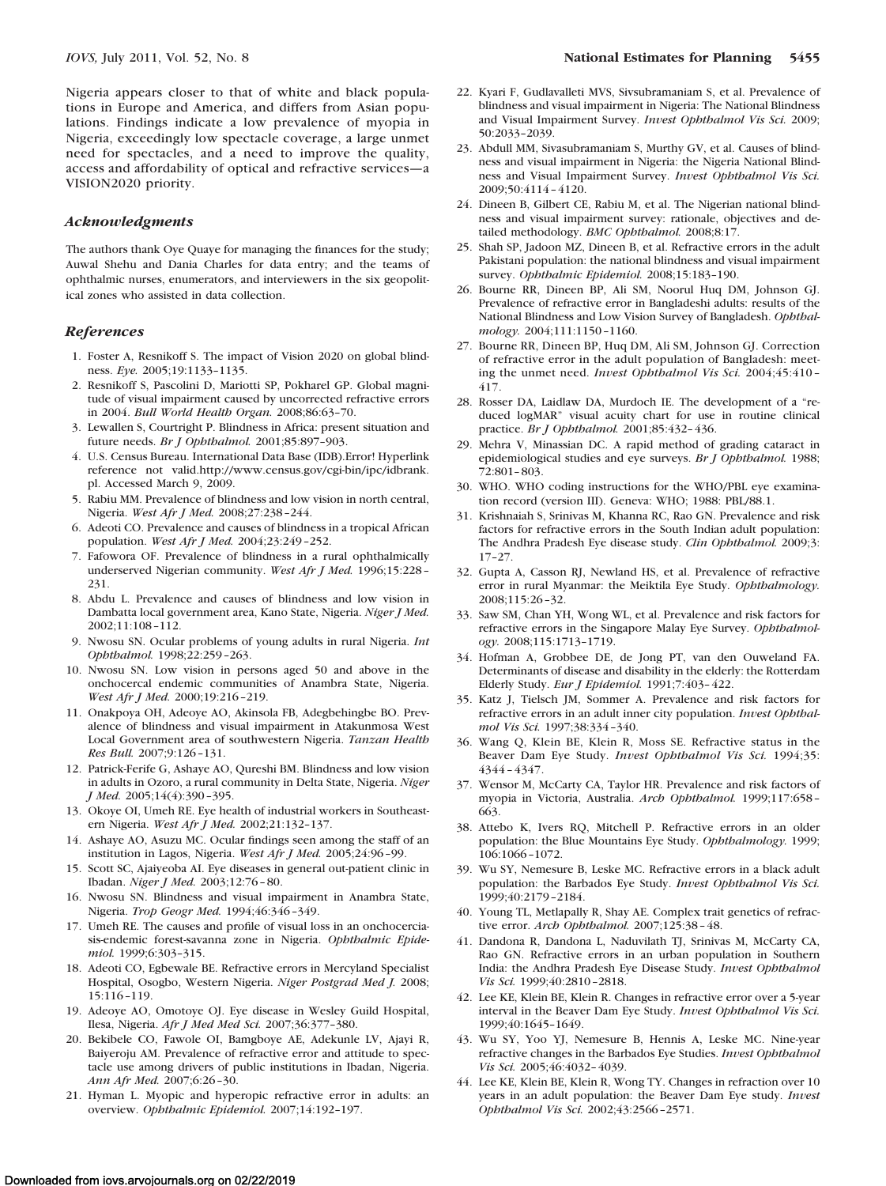Nigeria appears closer to that of white and black populations in Europe and America, and differs from Asian populations. Findings indicate a low prevalence of myopia in Nigeria, exceedingly low spectacle coverage, a large unmet need for spectacles, and a need to improve the quality, access and affordability of optical and refractive services—a VISION2020 priority.

#### *Acknowledgments*

The authors thank Oye Quaye for managing the finances for the study; Auwal Shehu and Dania Charles for data entry; and the teams of ophthalmic nurses, enumerators, and interviewers in the six geopolitical zones who assisted in data collection.

## *References*

- 1. Foster A, Resnikoff S. The impact of Vision 2020 on global blindness. *Eye.* 2005;19:1133–1135.
- 2. Resnikoff S, Pascolini D, Mariotti SP, Pokharel GP. Global magnitude of visual impairment caused by uncorrected refractive errors in 2004. *Bull World Health Organ.* 2008;86:63–70.
- 3. Lewallen S, Courtright P. Blindness in Africa: present situation and future needs. *Br J Ophthalmol.* 2001;85:897–903.
- 4. U.S. Census Bureau. International Data Base (IDB).Error! Hyperlink reference not valid.http://www.census.gov/cgi-bin/ipc/idbrank. pl. Accessed March 9, 2009.
- 5. Rabiu MM. Prevalence of blindness and low vision in north central, Nigeria. *West Afr J Med.* 2008;27:238 –244.
- 6. Adeoti CO. Prevalence and causes of blindness in a tropical African population. *West Afr J Med.* 2004;23:249 –252.
- 7. Fafowora OF. Prevalence of blindness in a rural ophthalmically underserved Nigerian community. *West Afr J Med.* 1996;15:228 – 231.
- 8. Abdu L. Prevalence and causes of blindness and low vision in Dambatta local government area, Kano State, Nigeria. *Niger J Med.* 2002;11:108 –112.
- 9. Nwosu SN. Ocular problems of young adults in rural Nigeria. *Int Ophthalmol.* 1998;22:259 –263.
- 10. Nwosu SN. Low vision in persons aged 50 and above in the onchocercal endemic communities of Anambra State, Nigeria. *West Afr J Med.* 2000;19:216 –219.
- 11. Onakpoya OH, Adeoye AO, Akinsola FB, Adegbehingbe BO. Prevalence of blindness and visual impairment in Atakunmosa West Local Government area of southwestern Nigeria. *Tanzan Health Res Bull.* 2007;9:126 –131.
- 12. Patrick-Ferife G, Ashaye AO, Qureshi BM. Blindness and low vision in adults in Ozoro, a rural community in Delta State, Nigeria. *Niger J Med.* 2005;14(4):390 –395.
- 13. Okoye OI, Umeh RE. Eye health of industrial workers in Southeastern Nigeria. *West Afr J Med.* 2002;21:132–137.
- 14. Ashaye AO, Asuzu MC. Ocular findings seen among the staff of an institution in Lagos, Nigeria. *West Afr J Med.* 2005;24:96 –99.
- 15. Scott SC, Ajaiyeoba AI. Eye diseases in general out-patient clinic in Ibadan. *Niger J Med.* 2003;12:76 – 80.
- 16. Nwosu SN. Blindness and visual impairment in Anambra State, Nigeria. *Trop Geogr Med.* 1994;46:346 –349.
- 17. Umeh RE. The causes and profile of visual loss in an onchocerciasis-endemic forest-savanna zone in Nigeria. *Ophthalmic Epidemiol.* 1999;6:303–315.
- 18. Adeoti CO, Egbewale BE. Refractive errors in Mercyland Specialist Hospital, Osogbo, Western Nigeria. *Niger Postgrad Med J.* 2008; 15:116 –119.
- 19. Adeoye AO, Omotoye OJ. Eye disease in Wesley Guild Hospital, Ilesa, Nigeria. *Afr J Med Med Sci.* 2007;36:377–380.
- 20. Bekibele CO, Fawole OI, Bamgboye AE, Adekunle LV, Ajayi R, Baiyeroju AM. Prevalence of refractive error and attitude to spectacle use among drivers of public institutions in Ibadan, Nigeria. *Ann Afr Med.* 2007;6:26 –30.
- 21. Hyman L. Myopic and hyperopic refractive error in adults: an overview. *Ophthalmic Epidemiol.* 2007;14:192–197.
- 22. Kyari F, Gudlavalleti MVS, Sivsubramaniam S, et al. Prevalence of blindness and visual impairment in Nigeria: The National Blindness and Visual Impairment Survey. *Invest Ophthalmol Vis Sci.* 2009; 50:2033–2039.
- 23. Abdull MM, Sivasubramaniam S, Murthy GV, et al. Causes of blindness and visual impairment in Nigeria: the Nigeria National Blindness and Visual Impairment Survey. *Invest Ophthalmol Vis Sci.* 2009;50:4114 – 4120.
- 24. Dineen B, Gilbert CE, Rabiu M, et al. The Nigerian national blindness and visual impairment survey: rationale, objectives and detailed methodology. *BMC Ophthalmol.* 2008;8:17.
- 25. Shah SP, Jadoon MZ, Dineen B, et al. Refractive errors in the adult Pakistani population: the national blindness and visual impairment survey. *Ophthalmic Epidemiol.* 2008;15:183–190.
- 26. Bourne RR, Dineen BP, Ali SM, Noorul Huq DM, Johnson GJ. Prevalence of refractive error in Bangladeshi adults: results of the National Blindness and Low Vision Survey of Bangladesh. *Ophthalmology.* 2004;111:1150 –1160.
- 27. Bourne RR, Dineen BP, Huq DM, Ali SM, Johnson GJ. Correction of refractive error in the adult population of Bangladesh: meeting the unmet need. *Invest Ophthalmol Vis Sci.* 2004;45:410 – 417.
- 28. Rosser DA, Laidlaw DA, Murdoch IE. The development of a "reduced logMAR" visual acuity chart for use in routine clinical practice. *Br J Ophthalmol.* 2001;85:432– 436.
- 29. Mehra V, Minassian DC. A rapid method of grading cataract in epidemiological studies and eye surveys. *Br J Ophthalmol.* 1988; 72:801– 803.
- 30. WHO. WHO coding instructions for the WHO/PBL eye examination record (version III). Geneva: WHO; 1988: PBL/88.1.
- 31. Krishnaiah S, Srinivas M, Khanna RC, Rao GN. Prevalence and risk factors for refractive errors in the South Indian adult population: The Andhra Pradesh Eye disease study. *Clin Ophthalmol.* 2009;3: 17–27.
- 32. Gupta A, Casson RJ, Newland HS, et al. Prevalence of refractive error in rural Myanmar: the Meiktila Eye Study. *Ophthalmology.* 2008;115:26 –32.
- 33. Saw SM, Chan YH, Wong WL, et al. Prevalence and risk factors for refractive errors in the Singapore Malay Eye Survey. *Ophthalmology.* 2008;115:1713–1719.
- 34. Hofman A, Grobbee DE, de Jong PT, van den Ouweland FA. Determinants of disease and disability in the elderly: the Rotterdam Elderly Study. *Eur J Epidemiol.* 1991;7:403– 422.
- 35. Katz J, Tielsch JM, Sommer A. Prevalence and risk factors for refractive errors in an adult inner city population. *Invest Ophthalmol Vis Sci.* 1997;38:334 –340.
- 36. Wang Q, Klein BE, Klein R, Moss SE. Refractive status in the Beaver Dam Eye Study. *Invest Ophthalmol Vis Sci.* 1994;35: 4344 – 4347.
- 37. Wensor M, McCarty CA, Taylor HR. Prevalence and risk factors of myopia in Victoria, Australia. *Arch Ophthalmol.* 1999;117:658 – 663.
- 38. Attebo K, Ivers RQ, Mitchell P. Refractive errors in an older population: the Blue Mountains Eye Study. *Ophthalmology.* 1999; 106:1066 –1072.
- 39. Wu SY, Nemesure B, Leske MC. Refractive errors in a black adult population: the Barbados Eye Study. *Invest Ophthalmol Vis Sci.* 1999;40:2179 –2184.
- 40. Young TL, Metlapally R, Shay AE. Complex trait genetics of refractive error. *Arch Ophthalmol.* 2007;125:38 – 48.
- 41. Dandona R, Dandona L, Naduvilath TJ, Srinivas M, McCarty CA, Rao GN. Refractive errors in an urban population in Southern India: the Andhra Pradesh Eye Disease Study. *Invest Ophthalmol Vis Sci.* 1999;40:2810 –2818.
- 42. Lee KE, Klein BE, Klein R. Changes in refractive error over a 5-year interval in the Beaver Dam Eye Study. *Invest Ophthalmol Vis Sci.* 1999;40:1645–1649.
- 43. Wu SY, Yoo YJ, Nemesure B, Hennis A, Leske MC. Nine-year refractive changes in the Barbados Eye Studies. *Invest Ophthalmol Vis Sci.* 2005;46:4032– 4039.
- 44. Lee KE, Klein BE, Klein R, Wong TY. Changes in refraction over 10 years in an adult population: the Beaver Dam Eye study. *Invest Ophthalmol Vis Sci.* 2002;43:2566 –2571.